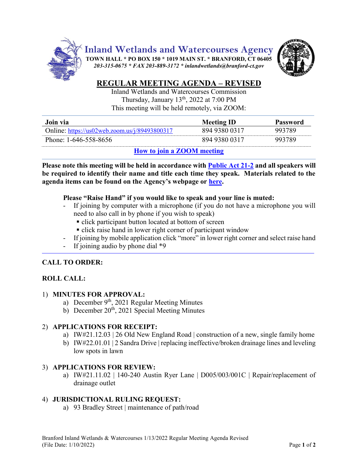

# **REGULAR MEETING AGENDA – REVISED**

Inland Wetlands and Watercourses Commission Thursday, January 13<sup>th</sup>, 2022 at 7:00 PM This meeting will be held remotely, via ZOOM:

| Join via                                                                                        | <b>Meeting ID</b> | Password |
|-------------------------------------------------------------------------------------------------|-------------------|----------|
| Online: https://us02web.zoom.us/j/89493800317                                                   | 894 9380 0317     | 993789   |
| Phone: 1-646-558-8656                                                                           | 894 9380 0317     | 993789   |
| $\mathbf{H}_{\text{max}}$ is the start $\mathbf{Z}\cap\mathbf{M}$ and $\mathbf{H}_{\text{max}}$ |                   |          |

**How [to join a ZOOM meeting](https://www.youtube.com/embed/hIkCmbvAHQQ?rel=0&autoplay=1&cc_load_policy=1)**

**Please note this meeting will be held in accordance wit[h Public Act 21-2](https://www.cga.ct.gov/2021/ACT/PA/PDF/2021PA-00002-R00SB-01202SS1-PA.PDF) and all speakers will be required to identify their name and title each time they speak. Materials related to the agenda items can be found on the Agency's webpage or [here.](https://www.dropbox.com/sh/aaqscumbqriwlm5/AADJjQJHfo-OSq0EKF8GdRqaa?dl=0)**

## **Please "Raise Hand" if you would like to speak and your line is muted:**

- If joining by computer with a microphone (if you do not have a microphone you will need to also call in by phone if you wish to speak)
	- click participant button located at bottom of screen
	- click raise hand in lower right corner of participant window
- If joining by mobile application click "more" in lower right corner and select raise hand
- If joining audio by phone dial  $*9$

# **CALL TO ORDER:**

# **ROLL CALL:**

## 1) **MINUTES FOR APPROVAL:**

- a) December 9<sup>th</sup>, 2021 Regular Meeting Minutes
- b) December  $20^{th}$ , 2021 Special Meeting Minutes

## 2) **APPLICATIONS FOR RECEIPT:**

- a) IW#21.12.03 | 26 Old New England Road | construction of a new, single family home
- b) IW#22.01.01 | 2 Sandra Drive | replacing ineffective/broken drainage lines and leveling low spots in lawn

## 3) **APPLICATIONS FOR REVIEW:**

a) IW#21.11.02 | 140-240 Austin Ryer Lane | D005/003/001C | Repair/replacement of drainage outlet

## 4) **JURISDICTIONAL RULING REQUEST:**

a) 93 Bradley Street | maintenance of path/road